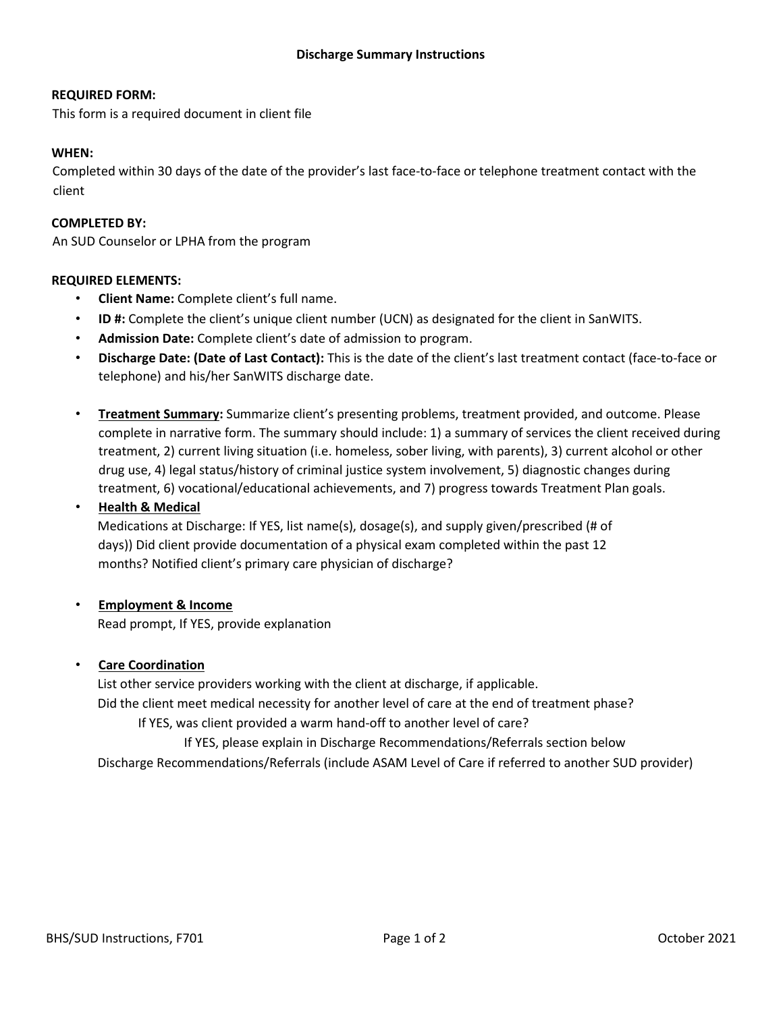### **REQUIRED FORM:**

This form is a required document in client file

#### **WHEN:**

Completed within 30 days of the date of the provider's last face-to-face or telephone treatment contact with the client

### **COMPLETED BY:**

An SUD Counselor or LPHA from the program

#### **REQUIRED ELEMENTS:**

- **Client Name:** Complete client's full name.
- **ID #:** Complete the client's unique client number (UCN) as designated for the client in SanWITS.
- **Admission Date:** Complete client's date of admission to program.
- **Discharge Date: (Date of Last Contact):** This is the date of the client's last treatment contact (face-to-face or telephone) and his/her SanWITS discharge date.
- **Treatment Summary:** Summarize client's presenting problems, treatment provided, and outcome. Please complete in narrative form. The summary should include: 1) a summary of services the client received during treatment, 2) current living situation (i.e. homeless, sober living, with parents), 3) current alcohol or other drug use, 4) legal status/history of criminal justice system involvement, 5) diagnostic changes during treatment, 6) vocational/educational achievements, and 7) progress towards Treatment Plan goals.

# • **Health & Medical**

Medications at Discharge: If YES, list name(s), dosage(s), and supply given/prescribed (# of days)) Did client provide documentation of a physical exam completed within the past 12 months? Notified client's primary care physician of discharge?

# • **Employment & Income**

Read prompt, If YES, provide explanation

# • **Care Coordination**

List other service providers working with the client at discharge, if applicable. Did the client meet medical necessity for another level of care at the end of treatment phase? If YES, was client provided a warm hand-off to another level of care? If YES, please explain in Discharge Recommendations/Referrals section below Discharge Recommendations/Referrals (include ASAM Level of Care if referred to another SUD provider)